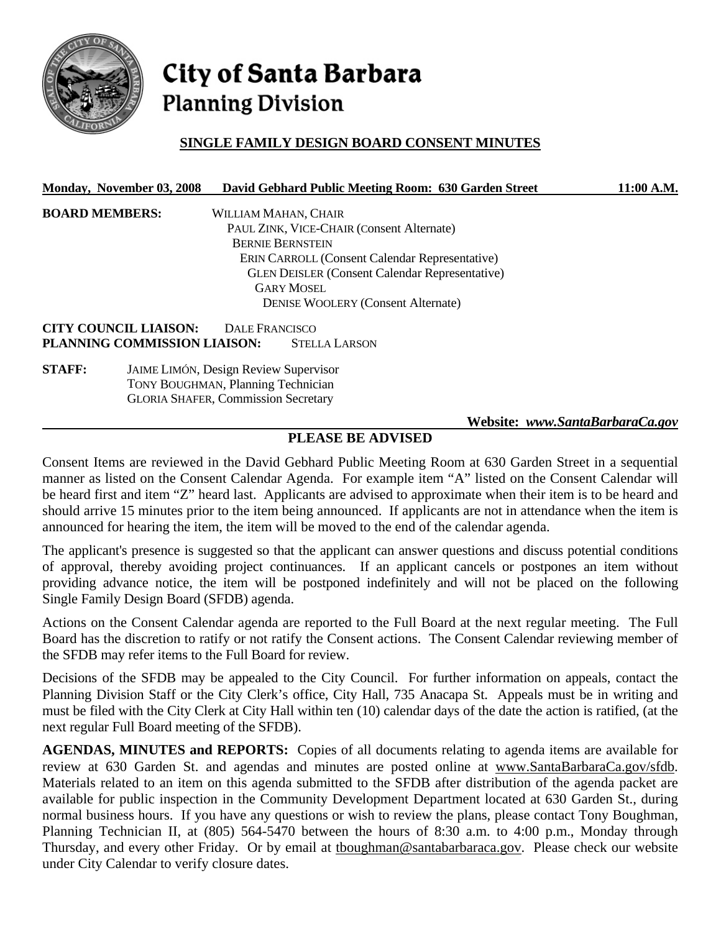

# City of Santa Barbara **Planning Division**

# **SINGLE FAMILY DESIGN BOARD CONSENT MINUTES**

| Monday, November 03, 2008 | David Gebhard Public Meeting Room: 630 Garden Street | 11:00 A.M. |
|---------------------------|------------------------------------------------------|------------|
|                           |                                                      |            |

| <b>BOARD MEMBERS:</b>     | WILLIAM MAHAN, CHAIR                                                                                                                                                                                                                                                                             |
|---------------------------|--------------------------------------------------------------------------------------------------------------------------------------------------------------------------------------------------------------------------------------------------------------------------------------------------|
|                           | PAUL ZINK, VICE-CHAIR (Consent Alternate)                                                                                                                                                                                                                                                        |
|                           | <b>BERNIE BERNSTEIN</b>                                                                                                                                                                                                                                                                          |
|                           | <b>ERIN CARROLL (Consent Calendar Representative)</b>                                                                                                                                                                                                                                            |
|                           | <b>GLEN DEISLER (Consent Calendar Representative)</b>                                                                                                                                                                                                                                            |
|                           | <b>GARY MOSEL</b>                                                                                                                                                                                                                                                                                |
|                           | <b>DENISE WOOLERY (Consent Alternate)</b>                                                                                                                                                                                                                                                        |
| ~----<br><b>AATILIATE</b> | $\mathbf{r}$ and $\mathbf{r}$ and $\mathbf{r}$ and $\mathbf{r}$ and $\mathbf{r}$ and $\mathbf{r}$ and $\mathbf{r}$ and $\mathbf{r}$ and $\mathbf{r}$ and $\mathbf{r}$ and $\mathbf{r}$ and $\mathbf{r}$ and $\mathbf{r}$ and $\mathbf{r}$ and $\mathbf{r}$ and $\mathbf{r}$ and $\mathbf{r}$ and |

**CITY COUNCIL LIAISON:** DALE FRANCISCO **PLANNING COMMISSION LIAISON:** STELLA LARSON

**STAFF:** JAIME LIMÓN, Design Review Supervisor TONY BOUGHMAN, Planning Technician GLORIA SHAFER, Commission Secretary

 **Website:** *www.SantaBarbaraCa.gov*

## **PLEASE BE ADVISED**

Consent Items are reviewed in the David Gebhard Public Meeting Room at 630 Garden Street in a sequential manner as listed on the Consent Calendar Agenda. For example item "A" listed on the Consent Calendar will be heard first and item "Z" heard last. Applicants are advised to approximate when their item is to be heard and should arrive 15 minutes prior to the item being announced. If applicants are not in attendance when the item is announced for hearing the item, the item will be moved to the end of the calendar agenda.

The applicant's presence is suggested so that the applicant can answer questions and discuss potential conditions of approval, thereby avoiding project continuances. If an applicant cancels or postpones an item without providing advance notice, the item will be postponed indefinitely and will not be placed on the following Single Family Design Board (SFDB) agenda.

Actions on the Consent Calendar agenda are reported to the Full Board at the next regular meeting. The Full Board has the discretion to ratify or not ratify the Consent actions. The Consent Calendar reviewing member of the SFDB may refer items to the Full Board for review.

Decisions of the SFDB may be appealed to the City Council. For further information on appeals, contact the Planning Division Staff or the City Clerk's office, City Hall, 735 Anacapa St. Appeals must be in writing and must be filed with the City Clerk at City Hall within ten (10) calendar days of the date the action is ratified, (at the next regular Full Board meeting of the SFDB).

**AGENDAS, MINUTES and REPORTS:** Copies of all documents relating to agenda items are available for review at 630 Garden St. and agendas and minutes are posted online at www.SantaBarbaraCa.gov/sfdb. Materials related to an item on this agenda submitted to the SFDB after distribution of the agenda packet are available for public inspection in the Community Development Department located at 630 Garden St., during normal business hours. If you have any questions or wish to review the plans, please contact Tony Boughman, Planning Technician II, at (805) 564-5470 between the hours of 8:30 a.m. to 4:00 p.m., Monday through Thursday, and every other Friday. Or by email at tboughman@santabarbaraca.gov. Please check our website under City Calendar to verify closure dates.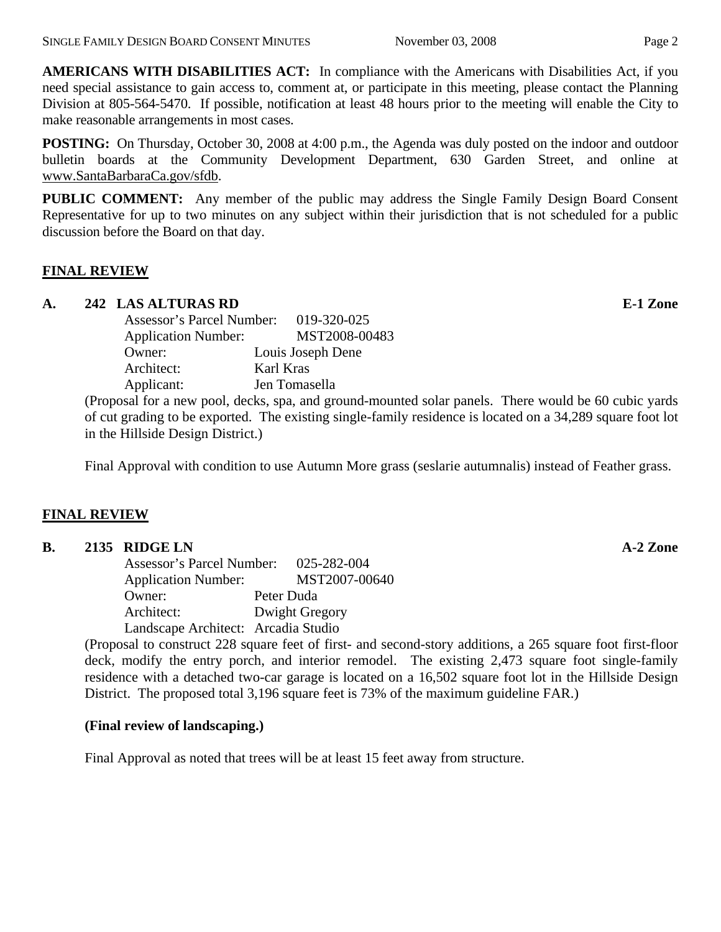**AMERICANS WITH DISABILITIES ACT:** In compliance with the Americans with Disabilities Act, if you need special assistance to gain access to, comment at, or participate in this meeting, please contact the Planning Division at 805-564-5470. If possible, notification at least 48 hours prior to the meeting will enable the City to make reasonable arrangements in most cases.

**POSTING:** On Thursday, October 30, 2008 at 4:00 p.m., the Agenda was duly posted on the indoor and outdoor bulletin boards at the Community Development Department, 630 Garden Street, and online at www.SantaBarbaraCa.gov/sfdb.

**PUBLIC COMMENT:** Any member of the public may address the Single Family Design Board Consent Representative for up to two minutes on any subject within their jurisdiction that is not scheduled for a public discussion before the Board on that day.

## **FINAL REVIEW**

## **A. 242 LAS ALTURAS RD E-1 Zone**

| Assessor's Parcel Number:  | 019-320-025       |
|----------------------------|-------------------|
| <b>Application Number:</b> | MST2008-00483     |
| Owner:                     | Louis Joseph Dene |
| Architect:                 | Karl Kras         |
| Applicant:                 | Jen Tomasella     |

(Proposal for a new pool, decks, spa, and ground-mounted solar panels. There would be 60 cubic yards of cut grading to be exported. The existing single-family residence is located on a 34,289 square foot lot in the Hillside Design District.)

Final Approval with condition to use Autumn More grass (seslarie autumnalis) instead of Feather grass.

#### **FINAL REVIEW**

#### **B. 2135 RIDGE LN A-2 Zone**

 Assessor's Parcel Number: 025-282-004 Application Number: MST2007-00640 Owner: Peter Duda Architect: Dwight Gregory Landscape Architect: Arcadia Studio

(Proposal to construct 228 square feet of first- and second-story additions, a 265 square foot first-floor deck, modify the entry porch, and interior remodel. The existing 2,473 square foot single-family residence with a detached two-car garage is located on a 16,502 square foot lot in the Hillside Design District. The proposed total 3,196 square feet is 73% of the maximum guideline FAR.)

#### **(Final review of landscaping.)**

Final Approval as noted that trees will be at least 15 feet away from structure.